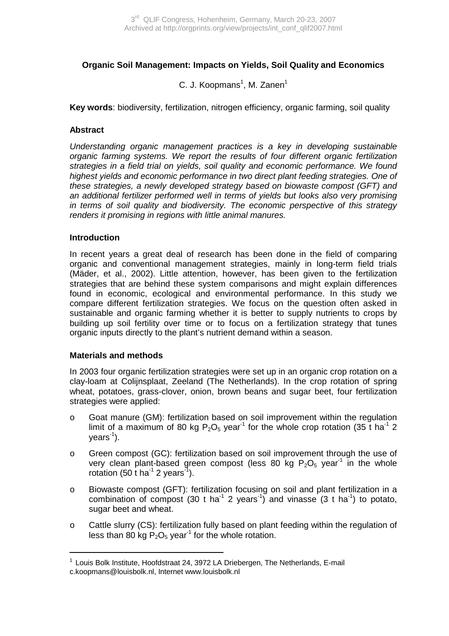# **Organic Soil Management: Impacts on Yields, Soil Quality and Economics**

# C. J. Koopmans<sup>1</sup>, M. Zanen<sup>1</sup>

**Key words**: biodiversity, fertilization, nitrogen efficiency, organic farming, soil quality

#### **Abstract**

Understanding organic management practices is a key in developing sustainable organic farming systems. We report the results of four different organic fertilization strategies in a field trial on yields, soil quality and economic performance. We found highest yields and economic performance in two direct plant feeding strategies. One of these strategies, a newly developed strategy based on biowaste compost (GFT) and an additional fertilizer performed well in terms of yields but looks also very promising in terms of soil quality and biodiversity. The economic perspective of this strategy renders it promising in regions with little animal manures.

#### **Introduction**

In recent years a great deal of research has been done in the field of comparing organic and conventional management strategies, mainly in long-term field trials (Mäder, et al., 2002). Little attention, however, has been given to the fertilization strategies that are behind these system comparisons and might explain differences found in economic, ecological and environmental performance. In this study we compare different fertilization strategies. We focus on the question often asked in sustainable and organic farming whether it is better to supply nutrients to crops by building up soil fertility over time or to focus on a fertilization strategy that tunes organic inputs directly to the plant's nutrient demand within a season.

#### **Materials and methods**

<u>.</u>

In 2003 four organic fertilization strategies were set up in an organic crop rotation on a clay-loam at Colijnsplaat, Zeeland (The Netherlands). In the crop rotation of spring wheat, potatoes, grass-clover, onion, brown beans and sugar beet, four fertilization strategies were applied:

- o Goat manure (GM): fertilization based on soil improvement within the regulation limit of a maximum of 80 kg  $P_2O_5$  year<sup>-1</sup> for the whole crop rotation (35 t ha<sup>-1</sup> 2  $years<sup>-1</sup>$ ).
- o Green compost (GC): fertilization based on soil improvement through the use of very clean plant-based green compost (less 80 kg  $P_2O_5$  year<sup>-1</sup> in the whole rotation (50 t ha<sup>-1</sup> 2 years<sup>-1</sup>).
- o Biowaste compost (GFT): fertilization focusing on soil and plant fertilization in a combination of compost (30 t ha<sup>-1</sup> 2 years<sup>-1</sup>) and vinasse (3 t ha<sup>-1</sup>) to potato, sugar beet and wheat.
- o Cattle slurry (CS): fertilization fully based on plant feeding within the regulation of less than 80 kg  $P_2O_5$  year<sup>-1</sup> for the whole rotation.

<sup>&</sup>lt;sup>1</sup> Louis Bolk Institute, Hoofdstraat 24, 3972 LA Driebergen, The Netherlands, E-mail c.koopmans@louisbolk.nl, Internet www.louisbolk.nl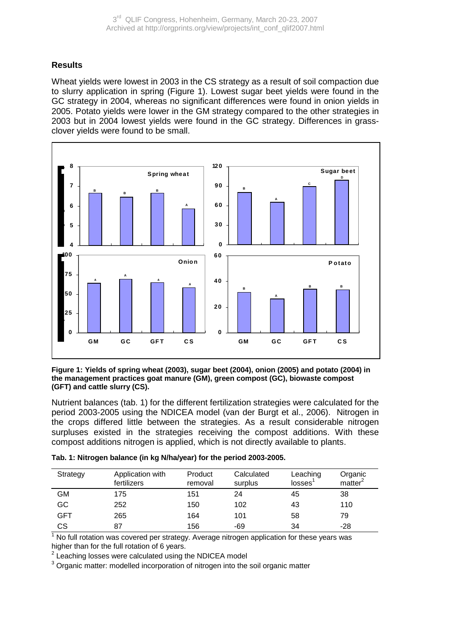## **Results**

Wheat yields were lowest in 2003 in the CS strategy as a result of soil compaction due to slurry application in spring (Figure 1). Lowest sugar beet yields were found in the GC strategy in 2004, whereas no significant differences were found in onion yields in 2005. Potato yields were lower in the GM strategy compared to the other strategies in 2003 but in 2004 lowest yields were found in the GC strategy. Differences in grassclover yields were found to be small.



**Figure 1: Yields of spring wheat (2003), sugar beet (2004), onion (2005) and potato (2004) in the management practices goat manure (GM), green compost (GC), biowaste compost (GFT) and cattle slurry (CS).** 

Nutrient balances (tab. 1) for the different fertilization strategies were calculated for the period 2003-2005 using the NDICEA model (van der Burgt et al., 2006). Nitrogen in the crops differed little between the strategies. As a result considerable nitrogen surpluses existed in the strategies receiving the compost additions. With these compost additions nitrogen is applied, which is not directly available to plants.

| Strategy   | Application with<br>fertilizers | Product<br>removal | Calculated<br>surplus | Leaching<br>losses <sup>1</sup> | Organic<br>matter <sup>2</sup> |
|------------|---------------------------------|--------------------|-----------------------|---------------------------------|--------------------------------|
| <b>GM</b>  | 175                             | 151                | 24                    | 45                              | 38                             |
| GC         | 252                             | 150                | 102                   | 43                              | 110                            |
| <b>GFT</b> | 265                             | 164                | 101                   | 58                              | 79                             |
| CS         | 87                              | 156                | -69                   | 34                              | $-28$                          |

|  |  |  |  | Tab. 1: Nitrogen balance (in kg N/ha/year) for the period 2003-2005. |
|--|--|--|--|----------------------------------------------------------------------|

 $1$  No full rotation was covered per strategy. Average nitrogen application for these years was higher than for the full rotation of 6 years.

 $2$  Leaching losses were calculated using the NDICEA model

<sup>3</sup> Organic matter: modelled incorporation of nitrogen into the soil organic matter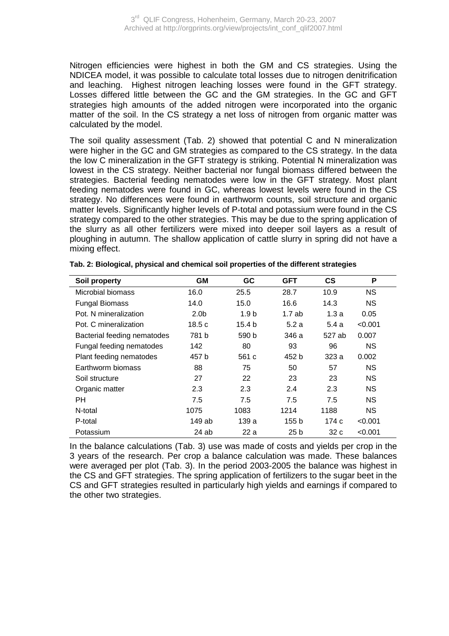Nitrogen efficiencies were highest in both the GM and CS strategies. Using the NDICEA model, it was possible to calculate total losses due to nitrogen denitrification and leaching. Highest nitrogen leaching losses were found in the GFT strategy. Losses differed little between the GC and the GM strategies. In the GC and GFT strategies high amounts of the added nitrogen were incorporated into the organic matter of the soil. In the CS strategy a net loss of nitrogen from organic matter was calculated by the model.

The soil quality assessment (Tab. 2) showed that potential C and N mineralization were higher in the GC and GM strategies as compared to the CS strategy. In the data the low C mineralization in the GFT strategy is striking. Potential N mineralization was lowest in the CS strategy. Neither bacterial nor fungal biomass differed between the strategies. Bacterial feeding nematodes were low in the GFT strategy. Most plant feeding nematodes were found in GC, whereas lowest levels were found in the CS strategy. No differences were found in earthworm counts, soil structure and organic matter levels. Significantly higher levels of P-total and potassium were found in the CS strategy compared to the other strategies. This may be due to the spring application of the slurry as all other fertilizers were mixed into deeper soil layers as a result of ploughing in autumn. The shallow application of cattle slurry in spring did not have a mixing effect.

| Soil property               | GМ               | GC               | <b>GFT</b>      | <b>CS</b> | P         |
|-----------------------------|------------------|------------------|-----------------|-----------|-----------|
| Microbial biomass           | 16.0             | 25.5             | 28.7            | 10.9      | <b>NS</b> |
| <b>Fungal Biomass</b>       | 14.0             | 15.0             | 16.6            | 14.3      | <b>NS</b> |
| Pot. N mineralization       | 2.0 <sub>b</sub> | 1.9 <sub>b</sub> | 1.7ab           | 1.3a      | 0.05      |
| Pot. C mineralization       | 18.5 c           | 15.4 b           | 5.2 a           | 5.4 a     | < 0.001   |
| Bacterial feeding nematodes | 781b             | 590 b            | 346 a           | 527 ab    | 0.007     |
| Fungal feeding nematodes    | 142              | 80               | 93              | 96        | <b>NS</b> |
| Plant feeding nematodes     | 457 b            | 561 c            | 452 b           | 323 a     | 0.002     |
| Earthworm biomass           | 88               | 75               | 50              | 57        | <b>NS</b> |
| Soil structure              | 27               | 22               | 23              | 23        | <b>NS</b> |
| Organic matter              | 2.3              | 2.3              | 2.4             | 2.3       | <b>NS</b> |
| <b>PH</b>                   | 7.5              | 7.5              | 7.5             | 7.5       | <b>NS</b> |
| N-total                     | 1075             | 1083             | 1214            | 1188      | NS.       |
| P-total                     | 149 ab           | 139 a            | 155 b           | 174 c     | < 0.001   |
| Potassium                   | 24 ab            | 22 a             | 25 <sub>b</sub> | 32 c      | < 0.001   |

**Tab. 2: Biological, physical and chemical soil properties of the different strategies** 

In the balance calculations (Tab. 3) use was made of costs and yields per crop in the 3 years of the research. Per crop a balance calculation was made. These balances were averaged per plot (Tab. 3). In the period 2003-2005 the balance was highest in the CS and GFT strategies. The spring application of fertilizers to the sugar beet in the CS and GFT strategies resulted in particularly high yields and earnings if compared to the other two strategies.